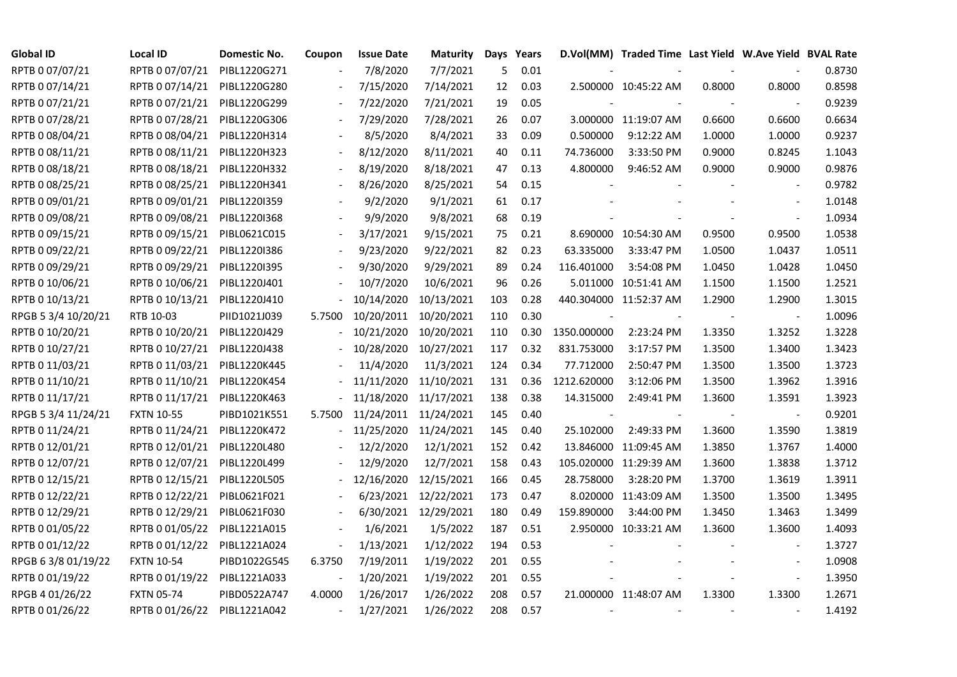| <b>Global ID</b>    | <b>Local ID</b>   | Domestic No. | Coupon                   | <b>Issue Date</b>     | <b>Maturity</b>      |     | Days Years |             | D.Vol(MM) Traded Time Last Yield W.Ave Yield BVAL Rate |        |                          |        |
|---------------------|-------------------|--------------|--------------------------|-----------------------|----------------------|-----|------------|-------------|--------------------------------------------------------|--------|--------------------------|--------|
| RPTB 0 07/07/21     | RPTB 0 07/07/21   | PIBL1220G271 |                          | 7/8/2020              | 7/7/2021             | 5   | 0.01       |             |                                                        |        |                          | 0.8730 |
| RPTB 0 07/14/21     | RPTB 0 07/14/21   | PIBL1220G280 |                          | 7/15/2020             | 7/14/2021            | 12  | 0.03       |             | 2.500000 10:45:22 AM                                   | 0.8000 | 0.8000                   | 0.8598 |
| RPTB 0 07/21/21     | RPTB 0 07/21/21   | PIBL1220G299 |                          | 7/22/2020             | 7/21/2021            | 19  | 0.05       |             |                                                        |        |                          | 0.9239 |
| RPTB 0 07/28/21     | RPTB 0 07/28/21   | PIBL1220G306 |                          | 7/29/2020             | 7/28/2021            | 26  | 0.07       |             | 3.000000 11:19:07 AM                                   | 0.6600 | 0.6600                   | 0.6634 |
| RPTB 0 08/04/21     | RPTB 0 08/04/21   | PIBL1220H314 |                          | 8/5/2020              | 8/4/2021             | 33  | 0.09       | 0.500000    | 9:12:22 AM                                             | 1.0000 | 1.0000                   | 0.9237 |
| RPTB 0 08/11/21     | RPTB 0 08/11/21   | PIBL1220H323 |                          | 8/12/2020             | 8/11/2021            | 40  | 0.11       | 74.736000   | 3:33:50 PM                                             | 0.9000 | 0.8245                   | 1.1043 |
| RPTB 0 08/18/21     | RPTB 0 08/18/21   | PIBL1220H332 |                          | 8/19/2020             | 8/18/2021            | 47  | 0.13       | 4.800000    | 9:46:52 AM                                             | 0.9000 | 0.9000                   | 0.9876 |
| RPTB 0 08/25/21     | RPTB 0 08/25/21   | PIBL1220H341 |                          | 8/26/2020             | 8/25/2021            | 54  | 0.15       |             |                                                        |        | $\overline{\phantom{a}}$ | 0.9782 |
| RPTB 0 09/01/21     | RPTB 0 09/01/21   | PIBL1220I359 |                          | 9/2/2020              | 9/1/2021             | 61  | 0.17       |             |                                                        |        |                          | 1.0148 |
| RPTB 0 09/08/21     | RPTB 0 09/08/21   | PIBL1220I368 |                          | 9/9/2020              | 9/8/2021             | 68  | 0.19       |             |                                                        |        |                          | 1.0934 |
| RPTB 0 09/15/21     | RPTB 0 09/15/21   | PIBL0621C015 | $\overline{\phantom{a}}$ | 3/17/2021             | 9/15/2021            | 75  | 0.21       |             | 8.690000 10:54:30 AM                                   | 0.9500 | 0.9500                   | 1.0538 |
| RPTB 0 09/22/21     | RPTB 0 09/22/21   | PIBL1220I386 | $\overline{\phantom{a}}$ | 9/23/2020             | 9/22/2021            | 82  | 0.23       | 63.335000   | 3:33:47 PM                                             | 1.0500 | 1.0437                   | 1.0511 |
| RPTB 0 09/29/21     | RPTB 0 09/29/21   | PIBL1220I395 |                          | 9/30/2020             | 9/29/2021            | 89  | 0.24       | 116.401000  | 3:54:08 PM                                             | 1.0450 | 1.0428                   | 1.0450 |
| RPTB 0 10/06/21     | RPTB 0 10/06/21   | PIBL1220J401 |                          | 10/7/2020             | 10/6/2021            | 96  | 0.26       |             | 5.011000 10:51:41 AM                                   | 1.1500 | 1.1500                   | 1.2521 |
| RPTB 0 10/13/21     | RPTB 0 10/13/21   | PIBL1220J410 |                          | 10/14/2020            | 10/13/2021           | 103 | 0.28       |             | 440.304000 11:52:37 AM                                 | 1.2900 | 1.2900                   | 1.3015 |
| RPGB 5 3/4 10/20/21 | RTB 10-03         | PIID1021J039 | 5.7500                   | 10/20/2011 10/20/2021 |                      | 110 | 0.30       |             |                                                        |        | $\overline{\phantom{a}}$ | 1.0096 |
| RPTB 0 10/20/21     | RPTB 0 10/20/21   | PIBL1220J429 |                          | 10/21/2020 10/20/2021 |                      | 110 | 0.30       | 1350.000000 | 2:23:24 PM                                             | 1.3350 | 1.3252                   | 1.3228 |
| RPTB 0 10/27/21     | RPTB 0 10/27/21   | PIBL1220J438 |                          | 10/28/2020 10/27/2021 |                      | 117 | 0.32       | 831.753000  | 3:17:57 PM                                             | 1.3500 | 1.3400                   | 1.3423 |
| RPTB 0 11/03/21     | RPTB 0 11/03/21   | PIBL1220K445 |                          | 11/4/2020             | 11/3/2021            | 124 | 0.34       | 77.712000   | 2:50:47 PM                                             | 1.3500 | 1.3500                   | 1.3723 |
| RPTB 0 11/10/21     | RPTB 0 11/10/21   | PIBL1220K454 |                          | 11/11/2020            | 11/10/2021           | 131 | 0.36       | 1212.620000 | 3:12:06 PM                                             | 1.3500 | 1.3962                   | 1.3916 |
| RPTB 0 11/17/21     | RPTB 0 11/17/21   | PIBL1220K463 |                          | 11/18/2020 11/17/2021 |                      | 138 | 0.38       | 14.315000   | 2:49:41 PM                                             | 1.3600 | 1.3591                   | 1.3923 |
| RPGB 5 3/4 11/24/21 | <b>FXTN 10-55</b> | PIBD1021K551 | 5.7500                   | 11/24/2011 11/24/2021 |                      | 145 | 0.40       |             |                                                        |        | $\overline{\phantom{a}}$ | 0.9201 |
| RPTB 0 11/24/21     | RPTB 0 11/24/21   | PIBL1220K472 |                          | 11/25/2020            | 11/24/2021           | 145 | 0.40       | 25.102000   | 2:49:33 PM                                             | 1.3600 | 1.3590                   | 1.3819 |
| RPTB 0 12/01/21     | RPTB 0 12/01/21   | PIBL1220L480 |                          | 12/2/2020             | 12/1/2021            | 152 | 0.42       |             | 13.846000 11:09:45 AM                                  | 1.3850 | 1.3767                   | 1.4000 |
| RPTB 0 12/07/21     | RPTB 0 12/07/21   | PIBL1220L499 |                          | 12/9/2020             | 12/7/2021            | 158 | 0.43       |             | 105.020000 11:29:39 AM                                 | 1.3600 | 1.3838                   | 1.3712 |
| RPTB 0 12/15/21     | RPTB 0 12/15/21   | PIBL1220L505 |                          | 12/16/2020            | 12/15/2021           | 166 | 0.45       | 28.758000   | 3:28:20 PM                                             | 1.3700 | 1.3619                   | 1.3911 |
| RPTB 0 12/22/21     | RPTB 0 12/22/21   | PIBL0621F021 |                          |                       | 6/23/2021 12/22/2021 | 173 | 0.47       |             | 8.020000 11:43:09 AM                                   | 1.3500 | 1.3500                   | 1.3495 |
| RPTB 0 12/29/21     | RPTB 0 12/29/21   | PIBL0621F030 |                          |                       | 6/30/2021 12/29/2021 | 180 | 0.49       | 159.890000  | 3:44:00 PM                                             | 1.3450 | 1.3463                   | 1.3499 |
| RPTB 0 01/05/22     | RPTB 0 01/05/22   | PIBL1221A015 |                          | 1/6/2021              | 1/5/2022             | 187 | 0.51       |             | 2.950000 10:33:21 AM                                   | 1.3600 | 1.3600                   | 1.4093 |
| RPTB 0 01/12/22     | RPTB 0 01/12/22   | PIBL1221A024 |                          | 1/13/2021             | 1/12/2022            | 194 | 0.53       |             |                                                        |        |                          | 1.3727 |
| RPGB 63/8 01/19/22  | <b>FXTN 10-54</b> | PIBD1022G545 | 6.3750                   | 7/19/2011             | 1/19/2022            | 201 | 0.55       |             |                                                        |        | $\overline{\phantom{a}}$ | 1.0908 |
| RPTB 0 01/19/22     | RPTB 0 01/19/22   | PIBL1221A033 |                          | 1/20/2021             | 1/19/2022            | 201 | 0.55       |             |                                                        |        | $\overline{\phantom{a}}$ | 1.3950 |
| RPGB 4 01/26/22     | <b>FXTN 05-74</b> | PIBD0522A747 | 4.0000                   | 1/26/2017             | 1/26/2022            | 208 | 0.57       |             | 21.000000 11:48:07 AM                                  | 1.3300 | 1.3300                   | 1.2671 |
| RPTB 0 01/26/22     | RPTB 0 01/26/22   | PIBL1221A042 |                          | 1/27/2021             | 1/26/2022            | 208 | 0.57       |             |                                                        |        |                          | 1.4192 |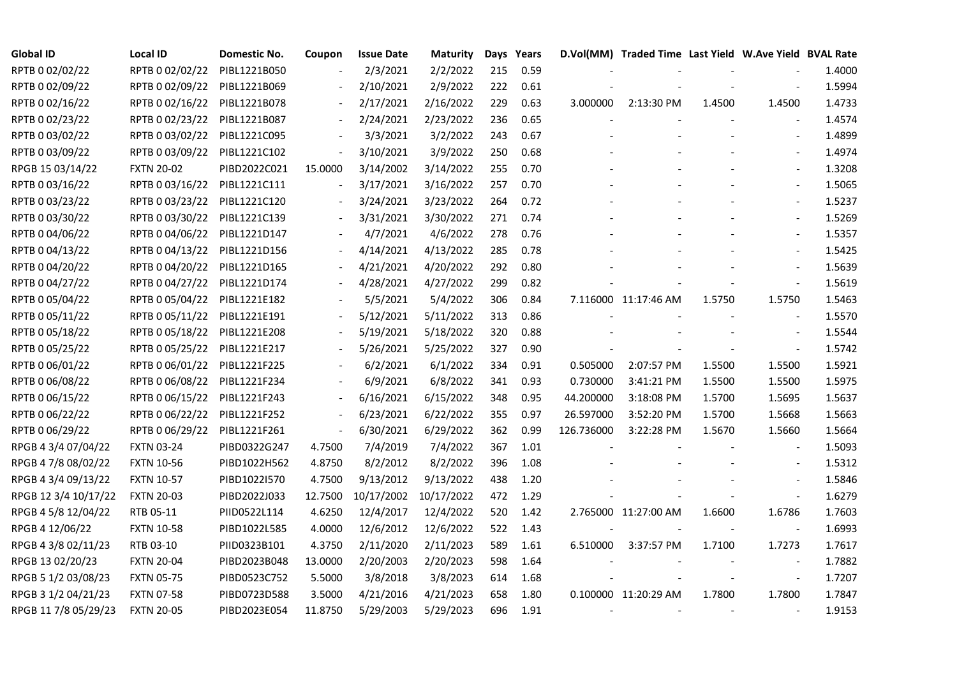| <b>Global ID</b>     | <b>Local ID</b>   | Domestic No. | Coupon                   | <b>Issue Date</b> | <b>Maturity</b> |     | Days Years |            | D.Vol(MM) Traded Time Last Yield W.Ave Yield BVAL Rate |        |                          |        |
|----------------------|-------------------|--------------|--------------------------|-------------------|-----------------|-----|------------|------------|--------------------------------------------------------|--------|--------------------------|--------|
| RPTB 0 02/02/22      | RPTB 0 02/02/22   | PIBL1221B050 |                          | 2/3/2021          | 2/2/2022        | 215 | 0.59       |            |                                                        |        |                          | 1.4000 |
| RPTB 0 02/09/22      | RPTB 0 02/09/22   | PIBL1221B069 |                          | 2/10/2021         | 2/9/2022        | 222 | 0.61       |            |                                                        |        |                          | 1.5994 |
| RPTB 0 02/16/22      | RPTB 0 02/16/22   | PIBL1221B078 |                          | 2/17/2021         | 2/16/2022       | 229 | 0.63       | 3.000000   | 2:13:30 PM                                             | 1.4500 | 1.4500                   | 1.4733 |
| RPTB 0 02/23/22      | RPTB 0 02/23/22   | PIBL1221B087 | $\overline{\phantom{a}}$ | 2/24/2021         | 2/23/2022       | 236 | 0.65       |            |                                                        |        |                          | 1.4574 |
| RPTB 0 03/02/22      | RPTB 0 03/02/22   | PIBL1221C095 | $\overline{\phantom{a}}$ | 3/3/2021          | 3/2/2022        | 243 | 0.67       |            |                                                        |        | $\blacksquare$           | 1.4899 |
| RPTB 0 03/09/22      | RPTB 0 03/09/22   | PIBL1221C102 | $\blacksquare$           | 3/10/2021         | 3/9/2022        | 250 | 0.68       |            |                                                        |        | $\blacksquare$           | 1.4974 |
| RPGB 15 03/14/22     | <b>FXTN 20-02</b> | PIBD2022C021 | 15.0000                  | 3/14/2002         | 3/14/2022       | 255 | 0.70       |            |                                                        |        | $\blacksquare$           | 1.3208 |
| RPTB 0 03/16/22      | RPTB 0 03/16/22   | PIBL1221C111 | $\overline{\phantom{a}}$ | 3/17/2021         | 3/16/2022       | 257 | 0.70       |            |                                                        |        | $\blacksquare$           | 1.5065 |
| RPTB 0 03/23/22      | RPTB 0 03/23/22   | PIBL1221C120 |                          | 3/24/2021         | 3/23/2022       | 264 | 0.72       |            |                                                        |        |                          | 1.5237 |
| RPTB 0 03/30/22      | RPTB 0 03/30/22   | PIBL1221C139 |                          | 3/31/2021         | 3/30/2022       | 271 | 0.74       |            |                                                        |        |                          | 1.5269 |
| RPTB 0 04/06/22      | RPTB 0 04/06/22   | PIBL1221D147 |                          | 4/7/2021          | 4/6/2022        | 278 | 0.76       |            |                                                        |        | $\overline{\phantom{a}}$ | 1.5357 |
| RPTB 0 04/13/22      | RPTB 0 04/13/22   | PIBL1221D156 |                          | 4/14/2021         | 4/13/2022       | 285 | 0.78       |            |                                                        |        | $\overline{\phantom{a}}$ | 1.5425 |
| RPTB 0 04/20/22      | RPTB 0 04/20/22   | PIBL1221D165 |                          | 4/21/2021         | 4/20/2022       | 292 | 0.80       |            |                                                        |        | $\blacksquare$           | 1.5639 |
| RPTB 0 04/27/22      | RPTB 0 04/27/22   | PIBL1221D174 |                          | 4/28/2021         | 4/27/2022       | 299 | 0.82       |            |                                                        |        | $\blacksquare$           | 1.5619 |
| RPTB 0 05/04/22      | RPTB 0 05/04/22   | PIBL1221E182 |                          | 5/5/2021          | 5/4/2022        | 306 | 0.84       |            | 7.116000 11:17:46 AM                                   | 1.5750 | 1.5750                   | 1.5463 |
| RPTB 0 05/11/22      | RPTB 0 05/11/22   | PIBL1221E191 |                          | 5/12/2021         | 5/11/2022       | 313 | 0.86       |            |                                                        |        |                          | 1.5570 |
| RPTB 0 05/18/22      | RPTB 0 05/18/22   | PIBL1221E208 |                          | 5/19/2021         | 5/18/2022       | 320 | 0.88       |            |                                                        |        | $\blacksquare$           | 1.5544 |
| RPTB 0 05/25/22      | RPTB 0 05/25/22   | PIBL1221E217 | $\overline{\phantom{a}}$ | 5/26/2021         | 5/25/2022       | 327 | 0.90       |            |                                                        |        | $\overline{\phantom{a}}$ | 1.5742 |
| RPTB 0 06/01/22      | RPTB 0 06/01/22   | PIBL1221F225 |                          | 6/2/2021          | 6/1/2022        | 334 | 0.91       | 0.505000   | 2:07:57 PM                                             | 1.5500 | 1.5500                   | 1.5921 |
| RPTB 0 06/08/22      | RPTB 0 06/08/22   | PIBL1221F234 |                          | 6/9/2021          | 6/8/2022        | 341 | 0.93       | 0.730000   | 3:41:21 PM                                             | 1.5500 | 1.5500                   | 1.5975 |
| RPTB 0 06/15/22      | RPTB 0 06/15/22   | PIBL1221F243 | $\blacksquare$           | 6/16/2021         | 6/15/2022       | 348 | 0.95       | 44.200000  | 3:18:08 PM                                             | 1.5700 | 1.5695                   | 1.5637 |
| RPTB 0 06/22/22      | RPTB 0 06/22/22   | PIBL1221F252 |                          | 6/23/2021         | 6/22/2022       | 355 | 0.97       | 26.597000  | 3:52:20 PM                                             | 1.5700 | 1.5668                   | 1.5663 |
| RPTB 0 06/29/22      | RPTB 0 06/29/22   | PIBL1221F261 | $\overline{\phantom{a}}$ | 6/30/2021         | 6/29/2022       | 362 | 0.99       | 126.736000 | 3:22:28 PM                                             | 1.5670 | 1.5660                   | 1.5664 |
| RPGB 4 3/4 07/04/22  | <b>FXTN 03-24</b> | PIBD0322G247 | 4.7500                   | 7/4/2019          | 7/4/2022        | 367 | 1.01       |            |                                                        |        |                          | 1.5093 |
| RPGB 4 7/8 08/02/22  | <b>FXTN 10-56</b> | PIBD1022H562 | 4.8750                   | 8/2/2012          | 8/2/2022        | 396 | 1.08       |            |                                                        |        | $\blacksquare$           | 1.5312 |
| RPGB 4 3/4 09/13/22  | <b>FXTN 10-57</b> | PIBD1022I570 | 4.7500                   | 9/13/2012         | 9/13/2022       | 438 | 1.20       |            |                                                        |        |                          | 1.5846 |
| RPGB 12 3/4 10/17/22 | <b>FXTN 20-03</b> | PIBD2022J033 | 12.7500                  | 10/17/2002        | 10/17/2022      | 472 | 1.29       |            |                                                        |        | $\overline{\phantom{a}}$ | 1.6279 |
| RPGB 4 5/8 12/04/22  | RTB 05-11         | PIID0522L114 | 4.6250                   | 12/4/2017         | 12/4/2022       | 520 | 1.42       |            | 2.765000 11:27:00 AM                                   | 1.6600 | 1.6786                   | 1.7603 |
| RPGB 4 12/06/22      | <b>FXTN 10-58</b> | PIBD1022L585 | 4.0000                   | 12/6/2012         | 12/6/2022       | 522 | 1.43       |            |                                                        |        | $\blacksquare$           | 1.6993 |
| RPGB 4 3/8 02/11/23  | RTB 03-10         | PIID0323B101 | 4.3750                   | 2/11/2020         | 2/11/2023       | 589 | 1.61       | 6.510000   | 3:37:57 PM                                             | 1.7100 | 1.7273                   | 1.7617 |
| RPGB 13 02/20/23     | <b>FXTN 20-04</b> | PIBD2023B048 | 13.0000                  | 2/20/2003         | 2/20/2023       | 598 | 1.64       |            |                                                        |        | $\overline{\phantom{a}}$ | 1.7882 |
| RPGB 5 1/2 03/08/23  | <b>FXTN 05-75</b> | PIBD0523C752 | 5.5000                   | 3/8/2018          | 3/8/2023        | 614 | 1.68       |            |                                                        |        | $\overline{\phantom{a}}$ | 1.7207 |
| RPGB 3 1/2 04/21/23  | <b>FXTN 07-58</b> | PIBD0723D588 | 3.5000                   | 4/21/2016         | 4/21/2023       | 658 | 1.80       |            | 0.100000 11:20:29 AM                                   | 1.7800 | 1.7800                   | 1.7847 |
| RPGB 11 7/8 05/29/23 | <b>FXTN 20-05</b> | PIBD2023E054 | 11.8750                  | 5/29/2003         | 5/29/2023       | 696 | 1.91       |            |                                                        |        |                          | 1.9153 |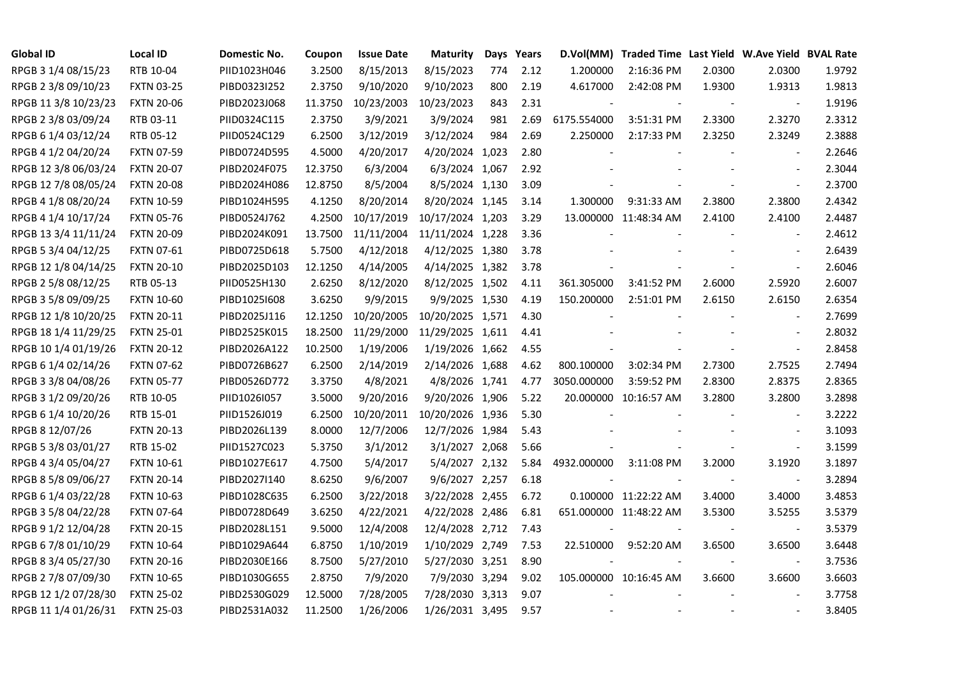| <b>Global ID</b>     | <b>Local ID</b>   | Domestic No. | Coupon  | <b>Issue Date</b> | <b>Maturity</b>  |     | Days Years | D.Vol(MM)   | Traded Time Last Yield W.Ave Yield BVAL Rate |                |                          |        |
|----------------------|-------------------|--------------|---------|-------------------|------------------|-----|------------|-------------|----------------------------------------------|----------------|--------------------------|--------|
| RPGB 3 1/4 08/15/23  | RTB 10-04         | PIID1023H046 | 3.2500  | 8/15/2013         | 8/15/2023        | 774 | 2.12       | 1.200000    | 2:16:36 PM                                   | 2.0300         | 2.0300                   | 1.9792 |
| RPGB 2 3/8 09/10/23  | <b>FXTN 03-25</b> | PIBD0323I252 | 2.3750  | 9/10/2020         | 9/10/2023        | 800 | 2.19       | 4.617000    | 2:42:08 PM                                   | 1.9300         | 1.9313                   | 1.9813 |
| RPGB 11 3/8 10/23/23 | <b>FXTN 20-06</b> | PIBD2023J068 | 11.3750 | 10/23/2003        | 10/23/2023       | 843 | 2.31       |             |                                              |                | $\overline{\phantom{a}}$ | 1.9196 |
| RPGB 2 3/8 03/09/24  | RTB 03-11         | PIID0324C115 | 2.3750  | 3/9/2021          | 3/9/2024         | 981 | 2.69       | 6175.554000 | 3:51:31 PM                                   | 2.3300         | 2.3270                   | 2.3312 |
| RPGB 6 1/4 03/12/24  | RTB 05-12         | PIID0524C129 | 6.2500  | 3/12/2019         | 3/12/2024        | 984 | 2.69       | 2.250000    | 2:17:33 PM                                   | 2.3250         | 2.3249                   | 2.3888 |
| RPGB 4 1/2 04/20/24  | <b>FXTN 07-59</b> | PIBD0724D595 | 4.5000  | 4/20/2017         | 4/20/2024 1,023  |     | 2.80       |             |                                              |                | $\blacksquare$           | 2.2646 |
| RPGB 12 3/8 06/03/24 | <b>FXTN 20-07</b> | PIBD2024F075 | 12.3750 | 6/3/2004          | 6/3/2024 1,067   |     | 2.92       |             |                                              |                | $\overline{\phantom{a}}$ | 2.3044 |
| RPGB 12 7/8 08/05/24 | <b>FXTN 20-08</b> | PIBD2024H086 | 12.8750 | 8/5/2004          | 8/5/2024 1,130   |     | 3.09       |             |                                              |                | $\blacksquare$           | 2.3700 |
| RPGB 4 1/8 08/20/24  | <b>FXTN 10-59</b> | PIBD1024H595 | 4.1250  | 8/20/2014         | 8/20/2024 1,145  |     | 3.14       | 1.300000    | 9:31:33 AM                                   | 2.3800         | 2.3800                   | 2.4342 |
| RPGB 4 1/4 10/17/24  | <b>FXTN 05-76</b> | PIBD0524J762 | 4.2500  | 10/17/2019        | 10/17/2024 1,203 |     | 3.29       |             | 13.000000 11:48:34 AM                        | 2.4100         | 2.4100                   | 2.4487 |
| RPGB 13 3/4 11/11/24 | <b>FXTN 20-09</b> | PIBD2024K091 | 13.7500 | 11/11/2004        | 11/11/2024 1,228 |     | 3.36       |             |                                              |                | $\blacksquare$           | 2.4612 |
| RPGB 5 3/4 04/12/25  | FXTN 07-61        | PIBD0725D618 | 5.7500  | 4/12/2018         | 4/12/2025 1,380  |     | 3.78       |             |                                              |                | $\sim$                   | 2.6439 |
| RPGB 12 1/8 04/14/25 | <b>FXTN 20-10</b> | PIBD2025D103 | 12.1250 | 4/14/2005         | 4/14/2025 1,382  |     | 3.78       |             |                                              |                | $\blacksquare$           | 2.6046 |
| RPGB 2 5/8 08/12/25  | RTB 05-13         | PIID0525H130 | 2.6250  | 8/12/2020         | 8/12/2025 1,502  |     | 4.11       | 361.305000  | 3:41:52 PM                                   | 2.6000         | 2.5920                   | 2.6007 |
| RPGB 3 5/8 09/09/25  | <b>FXTN 10-60</b> | PIBD10251608 | 3.6250  | 9/9/2015          | 9/9/2025 1,530   |     | 4.19       | 150.200000  | 2:51:01 PM                                   | 2.6150         | 2.6150                   | 2.6354 |
| RPGB 12 1/8 10/20/25 | <b>FXTN 20-11</b> | PIBD2025J116 | 12.1250 | 10/20/2005        | 10/20/2025 1,571 |     | 4.30       |             |                                              |                |                          | 2.7699 |
| RPGB 18 1/4 11/29/25 | <b>FXTN 25-01</b> | PIBD2525K015 | 18.2500 | 11/29/2000        | 11/29/2025 1,611 |     | 4.41       |             |                                              |                | $\overline{\phantom{a}}$ | 2.8032 |
| RPGB 10 1/4 01/19/26 | <b>FXTN 20-12</b> | PIBD2026A122 | 10.2500 | 1/19/2006         | 1/19/2026 1,662  |     | 4.55       |             |                                              |                | $\overline{\phantom{a}}$ | 2.8458 |
| RPGB 6 1/4 02/14/26  | <b>FXTN 07-62</b> | PIBD0726B627 | 6.2500  | 2/14/2019         | 2/14/2026 1,688  |     | 4.62       | 800.100000  | 3:02:34 PM                                   | 2.7300         | 2.7525                   | 2.7494 |
| RPGB 3 3/8 04/08/26  | <b>FXTN 05-77</b> | PIBD0526D772 | 3.3750  | 4/8/2021          | 4/8/2026 1,741   |     | 4.77       | 3050.000000 | 3:59:52 PM                                   | 2.8300         | 2.8375                   | 2.8365 |
| RPGB 3 1/2 09/20/26  | RTB 10-05         | PIID1026I057 | 3.5000  | 9/20/2016         | 9/20/2026 1,906  |     | 5.22       |             | 20.000000 10:16:57 AM                        | 3.2800         | 3.2800                   | 3.2898 |
| RPGB 6 1/4 10/20/26  | RTB 15-01         | PIID1526J019 | 6.2500  | 10/20/2011        | 10/20/2026 1,936 |     | 5.30       |             |                                              |                | $\overline{\phantom{a}}$ | 3.2222 |
| RPGB 8 12/07/26      | <b>FXTN 20-13</b> | PIBD2026L139 | 8.0000  | 12/7/2006         | 12/7/2026 1,984  |     | 5.43       |             |                                              |                |                          | 3.1093 |
| RPGB 5 3/8 03/01/27  | RTB 15-02         | PIID1527C023 | 5.3750  | 3/1/2012          | 3/1/2027 2,068   |     | 5.66       |             |                                              |                | $\overline{\phantom{a}}$ | 3.1599 |
| RPGB 4 3/4 05/04/27  | <b>FXTN 10-61</b> | PIBD1027E617 | 4.7500  | 5/4/2017          | 5/4/2027 2,132   |     | 5.84       | 4932.000000 | 3:11:08 PM                                   | 3.2000         | 3.1920                   | 3.1897 |
| RPGB 8 5/8 09/06/27  | <b>FXTN 20-14</b> | PIBD2027I140 | 8.6250  | 9/6/2007          | 9/6/2027 2,257   |     | 6.18       |             |                                              |                | $\blacksquare$           | 3.2894 |
| RPGB 6 1/4 03/22/28  | <b>FXTN 10-63</b> | PIBD1028C635 | 6.2500  | 3/22/2018         | 3/22/2028 2,455  |     | 6.72       |             | 0.100000 11:22:22 AM                         | 3.4000         | 3.4000                   | 3.4853 |
| RPGB 3 5/8 04/22/28  | <b>FXTN 07-64</b> | PIBD0728D649 | 3.6250  | 4/22/2021         | 4/22/2028 2,486  |     | 6.81       |             | 651.000000 11:48:22 AM                       | 3.5300         | 3.5255                   | 3.5379 |
| RPGB 9 1/2 12/04/28  | <b>FXTN 20-15</b> | PIBD2028L151 | 9.5000  | 12/4/2008         | 12/4/2028 2,712  |     | 7.43       |             |                                              |                | $\overline{\phantom{a}}$ | 3.5379 |
| RPGB 67/8 01/10/29   | <b>FXTN 10-64</b> | PIBD1029A644 | 6.8750  | 1/10/2019         | 1/10/2029 2,749  |     | 7.53       | 22.510000   | 9:52:20 AM                                   | 3.6500         | 3.6500                   | 3.6448 |
| RPGB 8 3/4 05/27/30  | <b>FXTN 20-16</b> | PIBD2030E166 | 8.7500  | 5/27/2010         | 5/27/2030 3,251  |     | 8.90       |             |                                              |                | $\blacksquare$           | 3.7536 |
| RPGB 2 7/8 07/09/30  | <b>FXTN 10-65</b> | PIBD1030G655 | 2.8750  | 7/9/2020          | 7/9/2030 3,294   |     | 9.02       |             | 105.000000 10:16:45 AM                       | 3.6600         | 3.6600                   | 3.6603 |
| RPGB 12 1/2 07/28/30 | <b>FXTN 25-02</b> | PIBD2530G029 | 12.5000 | 7/28/2005         | 7/28/2030 3,313  |     | 9.07       |             |                                              |                |                          | 3.7758 |
| RPGB 11 1/4 01/26/31 | <b>FXTN 25-03</b> | PIBD2531A032 | 11.2500 | 1/26/2006         | 1/26/2031 3,495  |     | 9.57       |             |                                              | $\blacksquare$ |                          | 3.8405 |